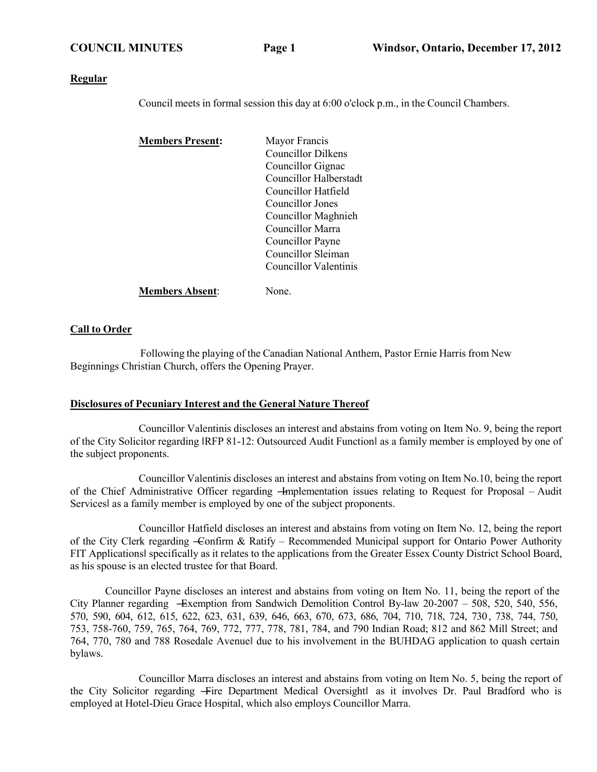#### **Regular**

Council meets in formal session this day at 6:00 o'clock p.m., in the Council Chambers.

| <b>Members Present:</b> | Mayor Francis          |
|-------------------------|------------------------|
|                         | Councillor Dilkens     |
|                         | Councillor Gignac      |
|                         | Councillor Halberstadt |
|                         | Councillor Hatfield    |
|                         | Councillor Jones       |
|                         | Councillor Maghnieh    |
|                         | Councillor Marra       |
|                         | Councillor Payne       |
|                         | Councillor Sleiman     |
|                         | Councillor Valentinis  |
| <b>Members Absent:</b>  | None.                  |

## **Call to Order**

Following the playing of the Canadian National Anthem, Pastor Ernie Harris from New Beginnings Christian Church, offers the Opening Prayer.

## **Disclosures of Pecuniary Interest and the General Nature Thereof**

Councillor Valentinis discloses an interest and abstains from voting on Item No. 9, being the report of the City Solicitor regarding ‖RFP 81-12: Outsourced Audit Function‖ as a family member is employed by one of the subject proponents.

Councillor Valentinis discloses an interest and abstains from voting on Item No.10, being the report of the Chief Administrative Officer regarding —Implementation issues relating to Request for Proposal – Audit Services‖ as a family member is employed by one of the subject proponents.

Councillor Hatfield discloses an interest and abstains from voting on Item No. 12, being the report of the City Clerk regarding -Confirm & Ratify – Recommended Municipal support for Ontario Power Authority FIT Applications‖ specifically as it relates to the applications from the Greater Essex County District School Board, as his spouse is an elected trustee for that Board.

Councillor Payne discloses an interest and abstains from voting on Item No. 11, being the report of the City Planner regarding ―Exemption from Sandwich Demolition Control By-law 20-2007 – 508, 520, 540, 556, 570, 590, 604, 612, 615, 622, 623, 631, 639, 646, 663, 670, 673, 686, 704, 710, 718, 724, 730, 738, 744, 750, 753, 758-760, 759, 765, 764, 769, 772, 777, 778, 781, 784, and 790 Indian Road; 812 and 862 Mill Street; and 764, 770, 780 and 788 Rosedale Avenue‖ due to his involvement in the BUHDAG application to quash certain bylaws.

Councillor Marra discloses an interest and abstains from voting on Item No. 5, being the report of the City Solicitor regarding -Fire Department Medical Oversightl as it involves Dr. Paul Bradford who is employed at Hotel-Dieu Grace Hospital, which also employs Councillor Marra.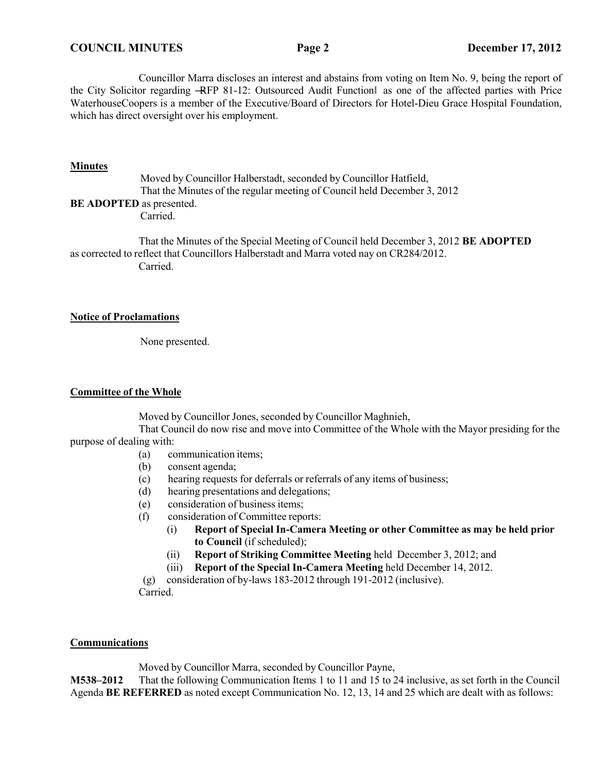Councillor Marra discloses an interest and abstains from voting on Item No. 9, being the report of the City Solicitor regarding ―RFP 81-12: Outsourced Audit Function‖ as one of the affected parties with Price WaterhouseCoopers is a member of the Executive/Board of Directors for Hotel-Dieu Grace Hospital Foundation, which has direct oversight over his employment.

## **Minutes**

Moved by Councillor Halberstadt, seconded by Councillor Hatfield, That the Minutes of the regular meeting of Council held December 3, 2012 **BE ADOPTED** as presented.

Carried.

That the Minutes of the Special Meeting of Council held December 3, 2012 **BE ADOPTED** as corrected to reflect that Councillors Halberstadt and Marra voted nay on CR284/2012. Carried.

## **Notice of Proclamations**

None presented.

## **Committee of the Whole**

Moved by Councillor Jones, seconded by Councillor Maghnieh,

That Council do now rise and move into Committee of the Whole with the Mayor presiding for the purpose of dealing with:

- (a) communication items;
- (b) consent agenda;
- (c) hearing requests for deferrals or referrals of any items of business;
- (d) hearing presentations and delegations;
- (e) consideration of business items;
- (f) consideration of Committee reports:
	- (i) **Report of Special In-Camera Meeting or other Committee as may be held prior to Council** (if scheduled);
	- (ii) **Report of Striking Committee Meeting** held December 3, 2012; and
	- (iii) **Report of the Special In-Camera Meeting** held December 14, 2012.

(g) consideration of by-laws 183-2012 through 191-2012 (inclusive).

Carried.

## **Communications**

Moved by Councillor Marra, seconded by Councillor Payne,

**M538–2012** That the following Communication Items 1 to 11 and 15 to 24 inclusive, as set forth in the Council Agenda **BE REFERRED** as noted except Communication No. 12, 13, 14 and 25 which are dealt with as follows: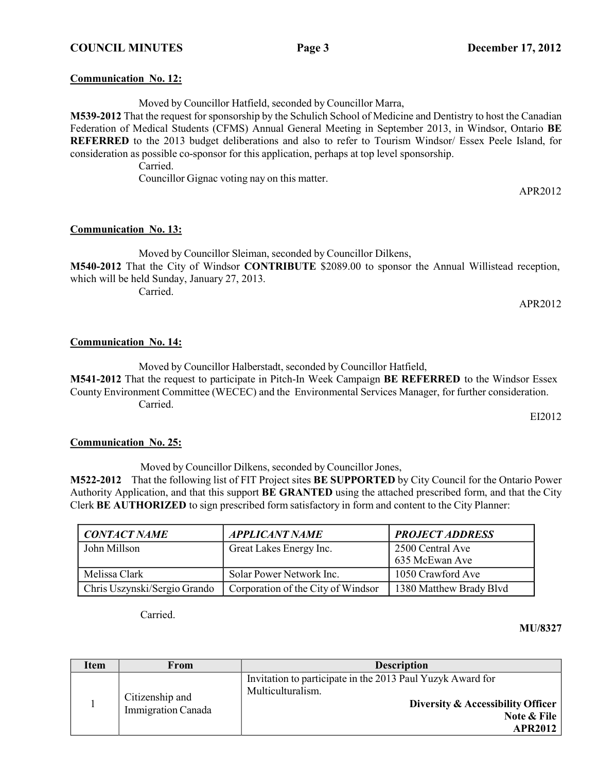**Communication No. 12:**

Moved by Councillor Hatfield, seconded by Councillor Marra,

**M539-2012** That the request for sponsorship by the Schulich School of Medicine and Dentistry to host the Canadian Federation of Medical Students (CFMS) Annual General Meeting in September 2013, in Windsor, Ontario **BE REFERRED** to the 2013 budget deliberations and also to refer to Tourism Windsor/ Essex Peele Island, for consideration as possible co-sponsor for this application, perhaps at top level sponsorship.

Carried.

Councillor Gignac voting nay on this matter.

# **Communication No. 13:**

Moved by Councillor Sleiman, seconded by Councillor Dilkens, **M540-2012** That the City of Windsor **CONTRIBUTE** \$2089.00 to sponsor the Annual Willistead reception, which will be held Sunday, January 27, 2013. Carried.

APR2012

## **Communication No. 14:**

Moved by Councillor Halberstadt, seconded by Councillor Hatfield,

**M541-2012** That the request to participate in Pitch-In Week Campaign **BE REFERRED** to the Windsor Essex County Environment Committee (WECEC) and the Environmental Services Manager, for further consideration. Carried.

EI2012

# **Communication No. 25:**

Moved by Councillor Dilkens, seconded by Councillor Jones,

**M522-2012** That the following list of FIT Project sites **BE SUPPORTED** by City Council for the Ontario Power Authority Application, and that this support **BE GRANTED** using the attached prescribed form, and that the City Clerk **BE AUTHORIZED** to sign prescribed form satisfactory in form and content to the City Planner:

| <b>CONTACT NAME</b>          | <b>APPLICANT NAME</b>              | <b>PROJECT ADDRESS</b>  |
|------------------------------|------------------------------------|-------------------------|
| John Millson                 | Great Lakes Energy Inc.            | 2500 Central Ave        |
|                              |                                    | 635 McEwan Ave          |
| Melissa Clark                | Solar Power Network Inc.           | 1050 Crawford Ave       |
| Chris Uszynski/Sergio Grando | Corporation of the City of Windsor | 1380 Matthew Brady Blvd |

Carried.

**MU/8327**

| Item | From                                  | <b>Description</b>                                                                                                                                    |  |
|------|---------------------------------------|-------------------------------------------------------------------------------------------------------------------------------------------------------|--|
|      | Citizenship and<br>Immigration Canada | Invitation to participate in the 2013 Paul Yuzyk Award for<br>Multiculturalism.<br>Diversity & Accessibility Officer<br>Note & File<br><b>APR2012</b> |  |

APR2012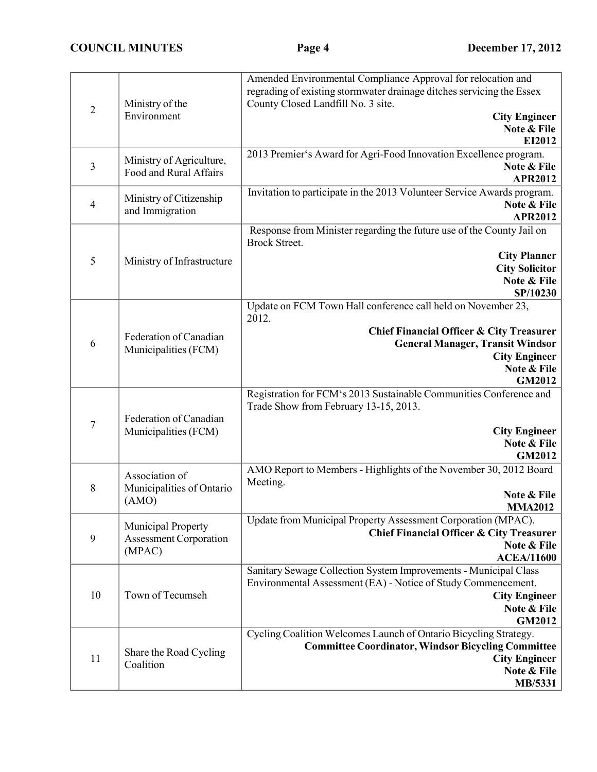|                         | Ministry of the                                               | Amended Environmental Compliance Approval for relocation and<br>regrading of existing stormwater drainage ditches servicing the Essex<br>County Closed Landfill No. 3 site.                                                     |  |
|-------------------------|---------------------------------------------------------------|---------------------------------------------------------------------------------------------------------------------------------------------------------------------------------------------------------------------------------|--|
| $\overline{2}$          | Environment                                                   | <b>City Engineer</b><br>Note & File<br>EI2012                                                                                                                                                                                   |  |
| $\overline{\mathbf{3}}$ | Ministry of Agriculture,<br>Food and Rural Affairs            | 2013 Premier's Award for Agri-Food Innovation Excellence program.<br>Note & File<br><b>APR2012</b>                                                                                                                              |  |
| $\overline{4}$          | Ministry of Citizenship<br>and Immigration                    | Invitation to participate in the 2013 Volunteer Service Awards program.<br>Note & File<br><b>APR2012</b>                                                                                                                        |  |
| 5                       | Ministry of Infrastructure                                    | Response from Minister regarding the future use of the County Jail on<br><b>Brock Street.</b><br><b>City Planner</b><br><b>City Solicitor</b><br>Note & File<br>SP/10230                                                        |  |
| 6                       | Federation of Canadian<br>Municipalities (FCM)                | Update on FCM Town Hall conference call held on November 23,<br>2012.<br><b>Chief Financial Officer &amp; City Treasurer</b><br><b>General Manager, Transit Windsor</b><br><b>City Engineer</b><br>Note & File<br><b>GM2012</b> |  |
| $\boldsymbol{7}$        | Federation of Canadian<br>Municipalities (FCM)                | Registration for FCM's 2013 Sustainable Communities Conference and<br>Trade Show from February 13-15, 2013.<br><b>City Engineer</b><br>Note & File<br><b>GM2012</b>                                                             |  |
| 8                       | Association of<br>Municipalities of Ontario<br>(AMO)          | AMO Report to Members - Highlights of the November 30, 2012 Board<br>Meeting.<br>Note & File<br><b>MMA2012</b>                                                                                                                  |  |
| $\boldsymbol{9}$        | Municipal Property<br><b>Assessment Corporation</b><br>(MPAC) | Update from Municipal Property Assessment Corporation (MPAC).<br><b>Chief Financial Officer &amp; City Treasurer</b><br>Note & File<br><b>ACEA/11600</b>                                                                        |  |
| 10                      | Town of Tecumseh                                              | Sanitary Sewage Collection System Improvements - Municipal Class<br>Environmental Assessment (EA) - Notice of Study Commencement.<br><b>City Engineer</b><br>Note & File<br><b>GM2012</b>                                       |  |
| 11                      | Share the Road Cycling<br>Coalition                           | Cycling Coalition Welcomes Launch of Ontario Bicycling Strategy.<br><b>Committee Coordinator, Windsor Bicycling Committee</b><br><b>City Engineer</b><br>Note & File<br>MB/5331                                                 |  |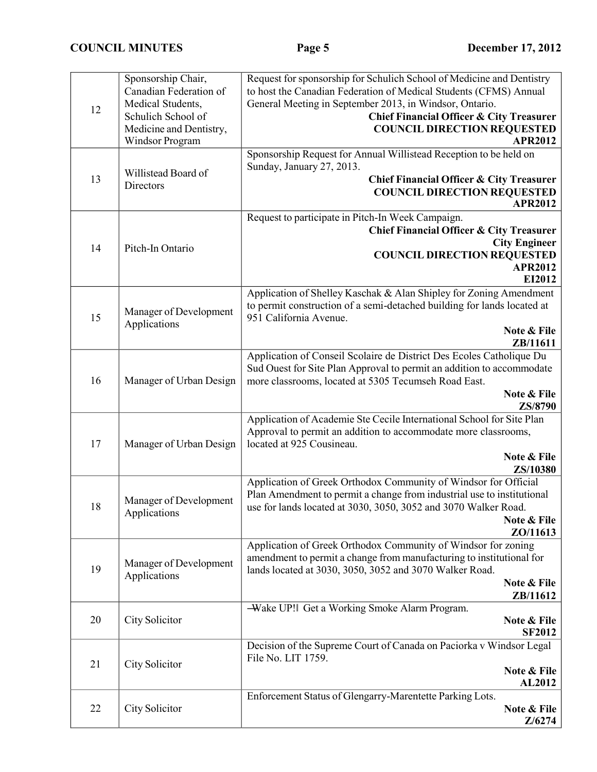| 12 | Sponsorship Chair,<br>Canadian Federation of<br>Medical Students,<br>Schulich School of<br>Medicine and Dentistry,<br>Windsor Program | Request for sponsorship for Schulich School of Medicine and Dentistry<br>to host the Canadian Federation of Medical Students (CFMS) Annual<br>General Meeting in September 2013, in Windsor, Ontario.<br><b>Chief Financial Officer &amp; City Treasurer</b><br><b>COUNCIL DIRECTION REQUESTED</b><br><b>APR2012</b> |  |
|----|---------------------------------------------------------------------------------------------------------------------------------------|----------------------------------------------------------------------------------------------------------------------------------------------------------------------------------------------------------------------------------------------------------------------------------------------------------------------|--|
| 13 | Willistead Board of<br>Directors                                                                                                      | Sponsorship Request for Annual Willistead Reception to be held on<br>Sunday, January 27, 2013.<br><b>Chief Financial Officer &amp; City Treasurer</b><br><b>COUNCIL DIRECTION REQUESTED</b><br><b>APR2012</b>                                                                                                        |  |
| 14 | Pitch-In Ontario                                                                                                                      | Request to participate in Pitch-In Week Campaign.<br><b>Chief Financial Officer &amp; City Treasurer</b><br><b>City Engineer</b><br><b>COUNCIL DIRECTION REQUESTED</b><br><b>APR2012</b><br>EI2012                                                                                                                   |  |
| 15 | Manager of Development<br>Applications                                                                                                | Application of Shelley Kaschak & Alan Shipley for Zoning Amendment<br>to permit construction of a semi-detached building for lands located at<br>951 California Avenue.<br>Note & File<br>ZB/11611                                                                                                                   |  |
| 16 | Manager of Urban Design                                                                                                               | Application of Conseil Scolaire de District Des Ecoles Catholique Du<br>Sud Ouest for Site Plan Approval to permit an addition to accommodate<br>more classrooms, located at 5305 Tecumseh Road East.<br>Note & File<br>ZS/8790                                                                                      |  |
| 17 | Manager of Urban Design                                                                                                               | Application of Academie Ste Cecile International School for Site Plan<br>Approval to permit an addition to accommodate more classrooms,<br>located at 925 Cousineau.<br>Note & File<br>ZS/10380                                                                                                                      |  |
| 18 | Manager of Development<br>Applications                                                                                                | Application of Greek Orthodox Community of Windsor for Official<br>Plan Amendment to permit a change from industrial use to institutional<br>use for lands located at 3030, 3050, 3052 and 3070 Walker Road.<br>Note & File<br>ZO/11613                                                                              |  |
| 19 | Manager of Development<br>Applications                                                                                                | Application of Greek Orthodox Community of Windsor for zoning<br>amendment to permit a change from manufacturing to institutional for<br>lands located at 3030, 3050, 3052 and 3070 Walker Road.<br>Note & File<br>ZB/11612                                                                                          |  |
| 20 | City Solicitor                                                                                                                        | -Wake UP! Get a Working Smoke Alarm Program.<br>Note & File<br><b>SF2012</b>                                                                                                                                                                                                                                         |  |
| 21 | City Solicitor                                                                                                                        | Decision of the Supreme Court of Canada on Paciorka v Windsor Legal<br>File No. LIT 1759.<br>Note & File<br><b>AL2012</b>                                                                                                                                                                                            |  |
| 22 | City Solicitor                                                                                                                        | Enforcement Status of Glengarry-Marentette Parking Lots.<br>Note & File<br>Z/6274                                                                                                                                                                                                                                    |  |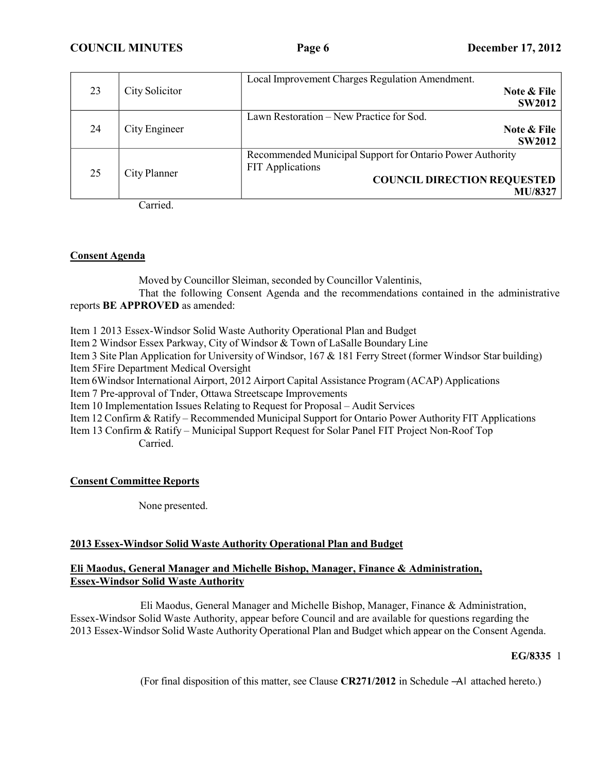**COUNCIL MINUTES Page 6 December 17, 2012**

|    |                | Local Improvement Charges Regulation Amendment.           |
|----|----------------|-----------------------------------------------------------|
| 23 | City Solicitor | Note & File                                               |
|    |                | <b>SW2012</b>                                             |
|    |                | Lawn Restoration - New Practice for Sod.                  |
| 24 | City Engineer  | Note & File                                               |
|    |                | <b>SW2012</b>                                             |
|    |                | Recommended Municipal Support for Ontario Power Authority |
| 25 | City Planner   | <b>FIT</b> Applications                                   |
|    |                | <b>COUNCIL DIRECTION REQUESTED</b>                        |
|    |                | <b>MU/8327</b>                                            |

Carried.

## **Consent Agenda**

Moved by Councillor Sleiman, seconded by Councillor Valentinis,

That the following Consent Agenda and the recommendations contained in the administrative reports **BE APPROVED** as amended:

Item 1 2013 Essex-Windsor Solid Waste Authority Operational Plan and Budget

Item 2 Windsor Essex Parkway, City of Windsor & Town of LaSalle Boundary Line

Item 3 Site Plan Application for University of Windsor, 167 & 181 Ferry Street (former Windsor Star building) Item 5Fire Department Medical Oversight

Item 6Windsor International Airport, 2012 Airport Capital Assistance Program (ACAP) Applications

Item 7 Pre-approval of Tnder, Ottawa Streetscape Improvements

Item 10 Implementation Issues Relating to Request for Proposal – Audit Services

Item 12 Confirm & Ratify – Recommended Municipal Support for Ontario Power Authority FIT Applications

Item 13 Confirm & Ratify – Municipal Support Request for Solar Panel FIT Project Non-Roof Top Carried.

# **Consent Committee Reports**

None presented.

# **2013 Essex-Windsor Solid Waste Authority Operational Plan and Budget**

# **Eli Maodus, General Manager and Michelle Bishop, Manager, Finance & Administration, Essex-Windsor Solid Waste Authority**

Eli Maodus, General Manager and Michelle Bishop, Manager, Finance & Administration, Essex-Windsor Solid Waste Authority, appear before Council and are available for questions regarding the 2013 Essex-Windsor Solid Waste Authority Operational Plan and Budget which appear on the Consent Agenda.

# **EG/8335** 1

(For final disposition of this matter, see Clause **CR271/2012** in Schedule ―A‖ attached hereto.)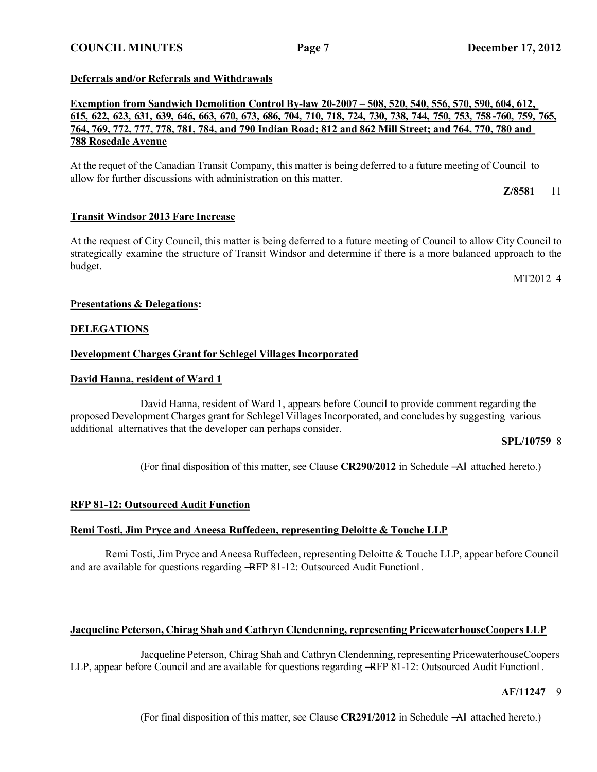## **Deferrals and/or Referrals and Withdrawals**

**Exemption from Sandwich Demolition Control By-law 20-2007 – 508, 520, 540, 556, 570, 590, 604, 612,** 615, 622, 623, 631, 639, 646, 663, 670, 673, 686, 704, 710, 718, 724, 730, 738, 744, 750, 753, 758-760, 759, 765, 764, 769, 772, 777, 778, 781, 784, and 790 Indian Road; 812 and 862 Mill Street; and 764, 770, 780 and **788 Rosedale Avenue**

At the requet of the Canadian Transit Company, this matter is being deferred to a future meeting of Council to allow for further discussions with administration on this matter.

**Z/8581** 11

## **Transit Windsor 2013 Fare Increase**

At the request of City Council, this matter is being deferred to a future meeting of Council to allow City Council to strategically examine the structure of Transit Windsor and determine if there is a more balanced approach to the budget.

MT2012 4

## **Presentations & Delegations:**

## **DELEGATIONS**

## **Development Charges Grant for Schlegel Villages Incorporated**

### **David Hanna, resident of Ward 1**

David Hanna, resident of Ward 1, appears before Council to provide comment regarding the proposed Development Charges grant for Schlegel Villages Incorporated, and concludes by suggesting various additional alternatives that the developer can perhaps consider.

#### **SPL/10759** 8

(For final disposition of this matter, see Clause **CR290/2012** in Schedule ―A‖ attached hereto.)

## **RFP 81-12: Outsourced Audit Function**

## **Remi Tosti, Jim Pryce and Aneesa Ruffedeen, representing Deloitte & Touche LLP**

Remi Tosti, Jim Pryce and Aneesa Ruffedeen, representing Deloitte & Touche LLP, appear before Council and are available for questions regarding ―RFP 81-12: Outsourced Audit Function‖ .

## **Jacqueline Peterson, Chirag Shah and Cathryn Clendenning, representing PricewaterhouseCoopers LLP**

Jacqueline Peterson, Chirag Shah and Cathryn Clendenning, representing PricewaterhouseCoopers LLP, appear before Council and are available for questions regarding ―RFP 81-12: Outsourced Audit Function‖ .

## **AF/11247** 9

(For final disposition of this matter, see Clause **CR291/2012** in Schedule ―A‖ attached hereto.)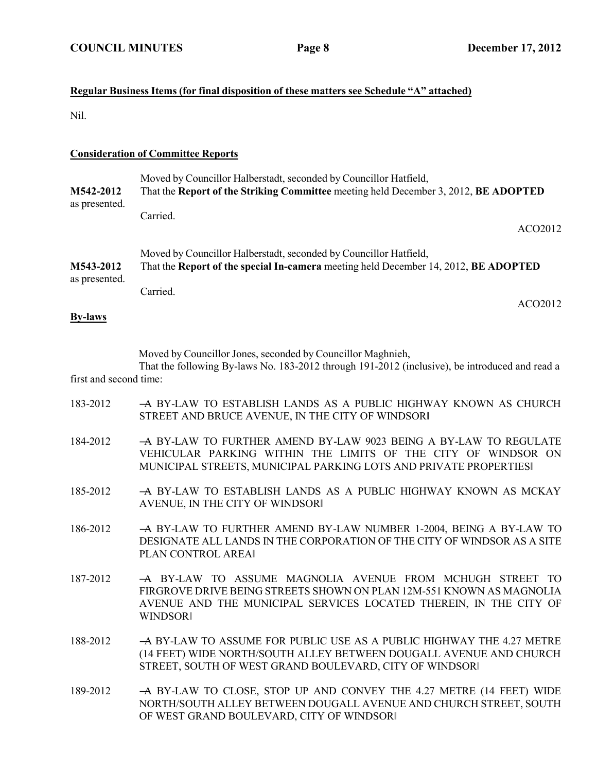# **Regular Business Items (for final disposition of these matters see Schedule "A" attached)**

Nil.

## **Consideration of Committee Reports**

| M542-2012<br>as presented. | Moved by Councillor Halberstadt, seconded by Councillor Hatfield,<br>That the Report of the Striking Committee meeting held December 3, 2012, BE ADOPTED |
|----------------------------|----------------------------------------------------------------------------------------------------------------------------------------------------------|
|                            | Carried.<br>ACO2012                                                                                                                                      |
| M543-2012                  | Moved by Councillor Halberstadt, seconded by Councillor Hatfield,<br>That the Report of the special In-camera meeting held December 14, 2012, BE ADOPTED |
| as presented.              | Carried.<br>ACO2012                                                                                                                                      |

### **By-laws**

Moved by Councillor Jones, seconded by Councillor Maghnieh,

That the following By-laws No. 183-2012 through 191-2012 (inclusive), be introduced and read a first and second time:

- 183-2012 ―A BY-LAW TO ESTABLISH LANDS AS A PUBLIC HIGHWAY KNOWN AS CHURCH STREET AND BRUCE AVENUE, IN THE CITY OF WINDSOR‖
- 184-2012 ―A BY-LAW TO FURTHER AMEND BY-LAW 9023 BEING A BY-LAW TO REGULATE VEHICULAR PARKING WITHIN THE LIMITS OF THE CITY OF WINDSOR ON MUNICIPAL STREETS, MUNICIPAL PARKING LOTS AND PRIVATE PROPERTIES‖
- 185-2012 ―A BY-LAW TO ESTABLISH LANDS AS A PUBLIC HIGHWAY KNOWN AS MCKAY AVENUE, IN THE CITY OF WINDSOR‖
- 186-2012 ―A BY-LAW TO FURTHER AMEND BY-LAW NUMBER 1-2004, BEING A BY-LAW TO DESIGNATE ALL LANDS IN THE CORPORATION OF THE CITY OF WINDSOR AS A SITE PLAN CONTROL AREA‖
- 187-2012 ―A BY-LAW TO ASSUME MAGNOLIA AVENUE FROM MCHUGH STREET TO FIRGROVE DRIVE BEING STREETS SHOWN ON PLAN 12M-551 KNOWN AS MAGNOLIA AVENUE AND THE MUNICIPAL SERVICES LOCATED THEREIN, IN THE CITY OF **WINDSOR**
- 188-2012 ―A BY-LAW TO ASSUME FOR PUBLIC USE AS A PUBLIC HIGHWAY THE 4.27 METRE (14 FEET) WIDE NORTH/SOUTH ALLEY BETWEEN DOUGALL AVENUE AND CHURCH STREET, SOUTH OF WEST GRAND BOULEVARD, CITY OF WINDSOR‖
- 189-2012 A BY-LAW TO CLOSE, STOP UP AND CONVEY THE 4.27 METRE (14 FEET) WIDE NORTH/SOUTH ALLEY BETWEEN DOUGALL AVENUE AND CHURCH STREET, SOUTH OF WEST GRAND BOULEVARD, CITY OF WINDSOR‖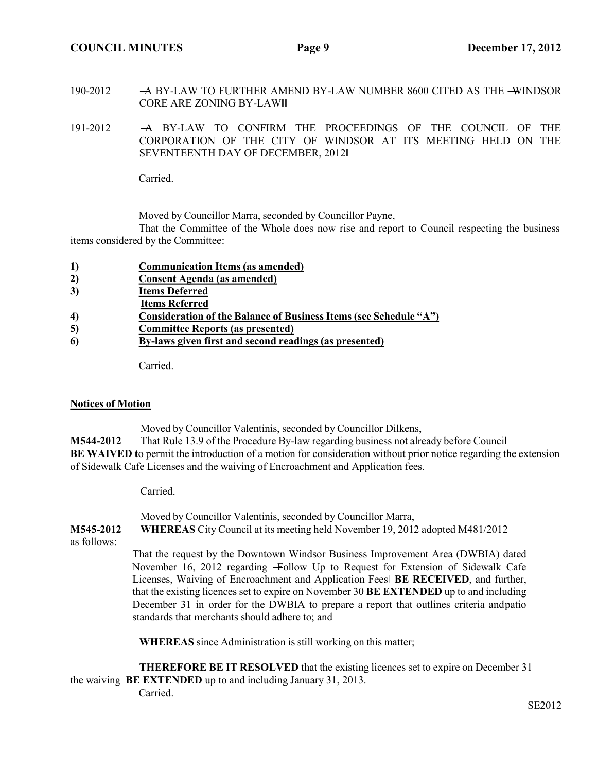**COUNCIL MINUTES Page 9 December 17, 2012**

- 190-2012 A BY-LAW TO FURTHER AMEND BY-LAW NUMBER 8600 CITED AS THE -WINDSOR CORE ARE ZONING BY-LAW‖‖
- 191-2012 ―A BY-LAW TO CONFIRM THE PROCEEDINGS OF THE COUNCIL OF THE CORPORATION OF THE CITY OF WINDSOR AT ITS MEETING HELD ON THE SEVENTEENTH DAY OF DECEMBER, 2012‖

Carried.

Moved by Councillor Marra, seconded by Councillor Payne,

That the Committee of the Whole does now rise and report to Council respecting the business items considered by the Committee:

| 1)               | <b>Communication Items (as amended)</b>                           |
|------------------|-------------------------------------------------------------------|
| 2)               | Consent Agenda (as amended)                                       |
| 3)               | <b>Items Deferred</b>                                             |
|                  | <b>Items Referred</b>                                             |
| $\boldsymbol{4}$ | Consideration of the Balance of Business Items (see Schedule "A") |
| 5)               | <b>Committee Reports (as presented)</b>                           |
| 6                | By-laws given first and second readings (as presented)            |

Carried.

## **Notices of Motion**

Moved by Councillor Valentinis, seconded by Councillor Dilkens,

**M544-2012** That Rule 13.9 of the Procedure By-law regarding business not already before Council **BE** WAIVED to permit the introduction of a motion for consideration without prior notice regarding the extension of Sidewalk Cafe Licenses and the waiving of Encroachment and Application fees.

Carried.

Moved by Councillor Valentinis, seconded by Councillor Marra,

**M545-2012 WHEREAS** City Council at its meeting held November 19, 2012 adopted M481/2012 as follows:

That the request by the Downtown Windsor Business Improvement Area (DWBIA) dated November 16, 2012 regarding ―Follow Up to Request for Extension of Sidewalk Cafe Licenses, Waiving of Encroachment and Application Fees‖ **BE RECEIVED**, and further, that the existing licences set to expire on November 30 **BE EXTENDED** up to and including December 31 in order for the DWBIA to prepare a report that outlines criteria andpatio standards that merchants should adhere to; and

**WHEREAS** since Administration is still working on this matter;

**THEREFORE BE IT RESOLVED** that the existing licences set to expire on December 31 the waiving **BE EXTENDED** up to and including January 31, 2013. Carried.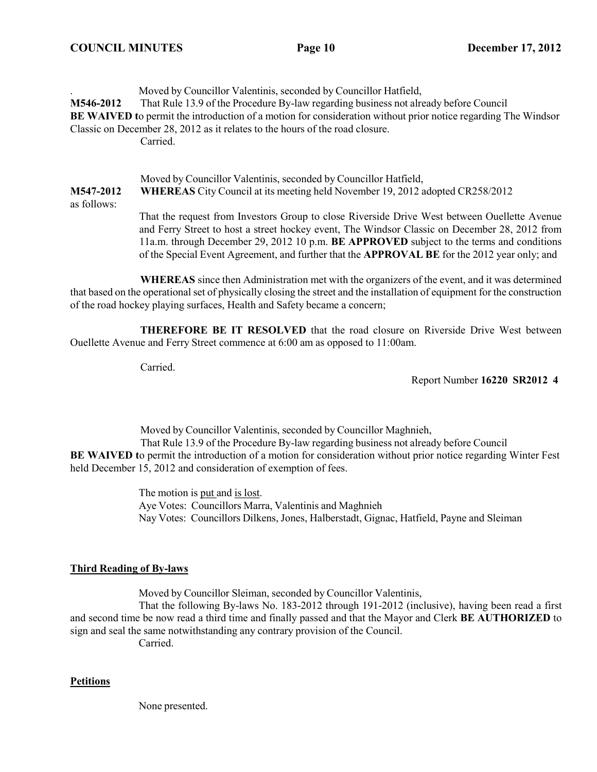. Moved by Councillor Valentinis, seconded by Councillor Hatfield, **M546-2012** That Rule 13.9 of the Procedure By-law regarding business not already before Council **BE** WAIVED to permit the introduction of a motion for consideration without prior notice regarding The Windsor Classic on December 28, 2012 as it relates to the hours of the road closure. Carried.

Moved by Councillor Valentinis, seconded by Councillor Hatfield, **M547-2012 WHEREAS** City Council at its meeting held November 19, 2012 adopted CR258/2012 as follows:

> That the request from Investors Group to close Riverside Drive West between Ouellette Avenue and Ferry Street to host a street hockey event, The Windsor Classic on December 28, 2012 from 11a.m. through December 29, 2012 10 p.m. **BE APPROVED** subject to the terms and conditions of the Special Event Agreement, and further that the **APPROVAL BE** for the 2012 year only; and

**WHEREAS** since then Administration met with the organizers of the event, and it was determined that based on the operational set of physically closing the street and the installation of equipment for the construction of the road hockey playing surfaces, Health and Safety became a concern;

**THEREFORE BE IT RESOLVED** that the road closure on Riverside Drive West between Ouellette Avenue and Ferry Street commence at 6:00 am as opposed to 11:00am.

Carried.

Report Number **16220 SR2012 4**

Moved by Councillor Valentinis, seconded by Councillor Maghnieh, That Rule 13.9 of the Procedure By-law regarding business not already before Council **BE** WAIVED to permit the introduction of a motion for consideration without prior notice regarding Winter Fest held December 15, 2012 and consideration of exemption of fees.

> The motion is put and is lost. Aye Votes: Councillors Marra, Valentinis and Maghnieh Nay Votes: Councillors Dilkens, Jones, Halberstadt, Gignac, Hatfield, Payne and Sleiman

# **Third Reading of By-laws**

Moved by Councillor Sleiman, seconded by Councillor Valentinis,

That the following By-laws No. 183-2012 through 191-2012 (inclusive), having been read a first and second time be now read a third time and finally passed and that the Mayor and Clerk **BE AUTHORIZED** to sign and seal the same notwithstanding any contrary provision of the Council.

Carried.

# **Petitions**

None presented.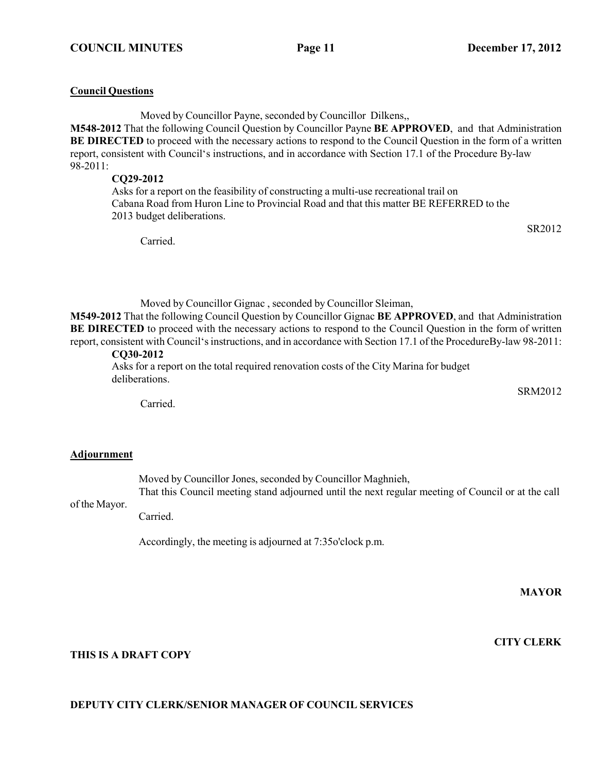### **Council Questions**

Moved by Councillor Payne, seconded by Councillor Dilkens,,

**M548-2012** That the following Council Question by Councillor Payne **BE APPROVED**, and that Administration **BE DIRECTED** to proceed with the necessary actions to respond to the Council Question in the form of a written report, consistent with Council's instructions, and in accordance with Section 17.1 of the Procedure By-law 98-2011:

## **CQ29-2012**

Asks for a report on the feasibility of constructing a multi-use recreational trail on Cabana Road from Huron Line to Provincial Road and that this matter BE REFERRED to the 2013 budget deliberations.

Carried.

SR2012

Moved by Councillor Gignac , seconded by Councillor Sleiman,

**M549-2012** That the following Council Question by Councillor Gignac **BE APPROVED**, and that Administration **BE DIRECTED** to proceed with the necessary actions to respond to the Council Question in the form of written report, consistent with Council'sinstructions, and in accordance with Section 17.1 of the ProcedureBy-law 98-2011:

# **CQ30-2012**

Asks for a report on the total required renovation costs of the City Marina for budget deliberations.

SRM2012

Carried.

## **Adjournment**

Moved by Councillor Jones, seconded by Councillor Maghnieh,

of the Mayor. That this Council meeting stand adjourned until the next regular meeting of Council or at the call

Carried.

Accordingly, the meeting is adjourned at 7:35o'clock p.m.

**MAYOR**

**CITY CLERK**

# **THIS IS A DRAFT COPY**

# **DEPUTY CITY CLERK/SENIOR MANAGER OF COUNCIL SERVICES**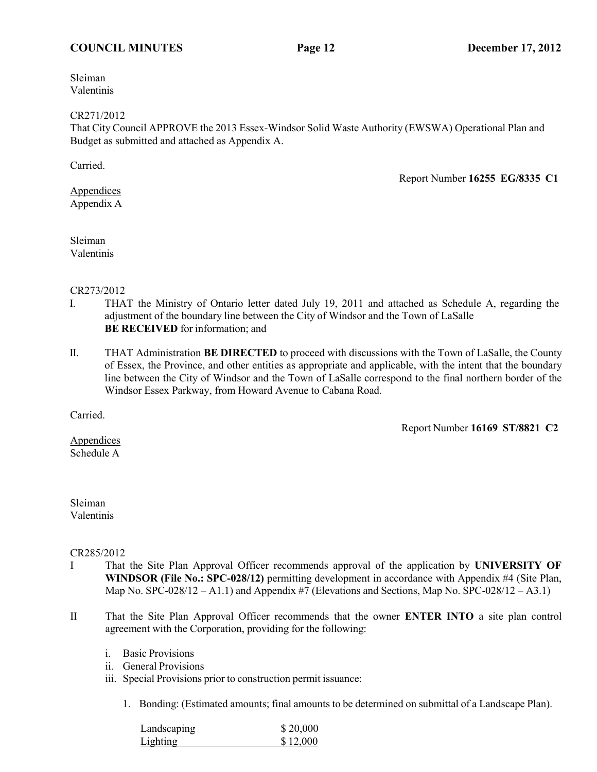## **COUNCIL MINUTES Page 12 December 17, 2012**

Sleiman Valentinis

#### CR271/2012

That City Council APPROVE the 2013 Essex-Windsor Solid Waste Authority (EWSWA) Operational Plan and Budget as submitted and attached as Appendix A.

Carried.

Report Number **16255 EG/8335 C1**

Appendices Appendix A

Sleiman Valentinis

## CR273/2012

- I. THAT the Ministry of Ontario letter dated July 19, 2011 and attached as Schedule A, regarding the adjustment of the boundary line between the City of Windsor and the Town of LaSalle **BE RECEIVED** for information; and
- II. THAT Administration **BE DIRECTED** to proceed with discussions with the Town of LaSalle, the County of Essex, the Province, and other entities as appropriate and applicable, with the intent that the boundary line between the City of Windsor and the Town of LaSalle correspond to the final northern border of the Windsor Essex Parkway, from Howard Avenue to Cabana Road.

Carried.

Report Number **16169 ST/8821 C2**

Appendices Schedule A

## Sleiman Valentinis

## CR285/2012

- I That the Site Plan Approval Officer recommends approval of the application by **UNIVERSITY OF WINDSOR (File No.: SPC-028/12)** permitting development in accordance with Appendix #4 (Site Plan, Map No. SPC-028/12 – A1.1) and Appendix #7 (Elevations and Sections, Map No. SPC-028/12 – A3.1)
- II That the Site Plan Approval Officer recommends that the owner **ENTER INTO** a site plan control agreement with the Corporation, providing for the following:
	- i. Basic Provisions
	- ii. General Provisions
	- iii. Special Provisions prior to construction permit issuance:

1. Bonding: (Estimated amounts; final amounts to be determined on submittal of a Landscape Plan).

| Landscaping | \$20,000 |
|-------------|----------|
| Lighting    | \$12,000 |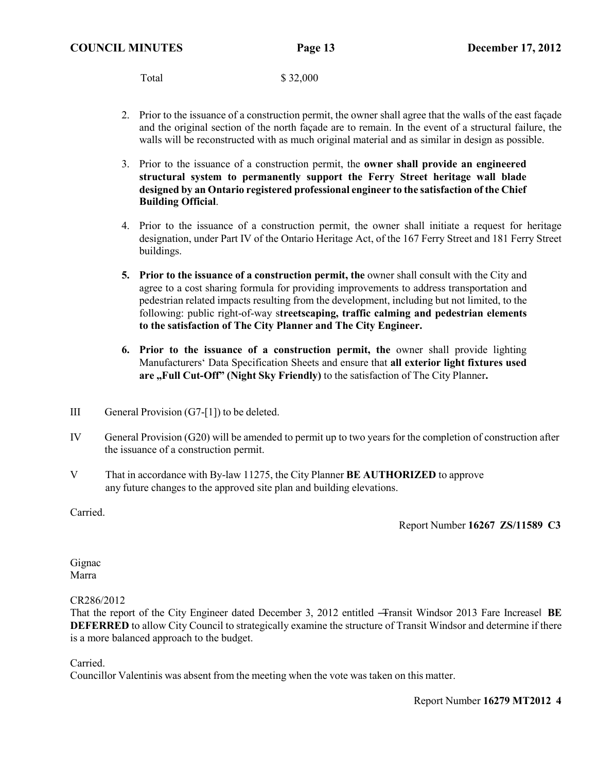Total \$ 32,000

- 2. Prior to the issuance of a construction permit, the owner shall agree that the walls of the east façade and the original section of the north façade are to remain. In the event of a structural failure, the walls will be reconstructed with as much original material and as similar in design as possible.
- 3. Prior to the issuance of a construction permit, the **owner shall provide an engineered structural system to permanently support the Ferry Street heritage wall blade designed by an Ontario registered professional engineer to the satisfaction of the Chief Building Official**.
- 4. Prior to the issuance of a construction permit, the owner shall initiate a request for heritage designation, under Part IV of the Ontario Heritage Act, of the 167 Ferry Street and 181 Ferry Street buildings.
- **5.** Prior to the issuance of a construction permit, the owner shall consult with the City and agree to a cost sharing formula for providing improvements to address transportation and pedestrian related impacts resulting from the development, including but not limited, to the following: public right-of-way s**treetscaping, traffic calming and pedestrian elements to the satisfaction of The City Planner and The City Engineer.**
- **6. Prior to the issuance of a construction permit, the** owner shall provide lighting Manufacturers' Data Specification Sheets and ensure that **all exterior light fixtures used are "Full Cut-Off" (Night Sky Friendly)** to the satisfaction of The City Planner**.**
- III General Provision (G7-[1]) to be deleted.
- IV General Provision (G20) will be amended to permit up to two years for the completion of construction after the issuance of a construction permit.
- V That in accordance with By-law 11275, the City Planner **BE AUTHORIZED** to approve any future changes to the approved site plan and building elevations.

Carried.

Report Number **16267 ZS/11589 C3**

Gignac Marra

## CR286/2012

That the report of the City Engineer dated December 3, 2012 entitled ―Transit Windsor 2013 Fare Increase‖ **BE DEFERRED** to allow City Council to strategically examine the structure of Transit Windsor and determine if there is a more balanced approach to the budget.

Carried.

Councillor Valentinis was absent from the meeting when the vote was taken on this matter.

Report Number **16279 MT2012 4**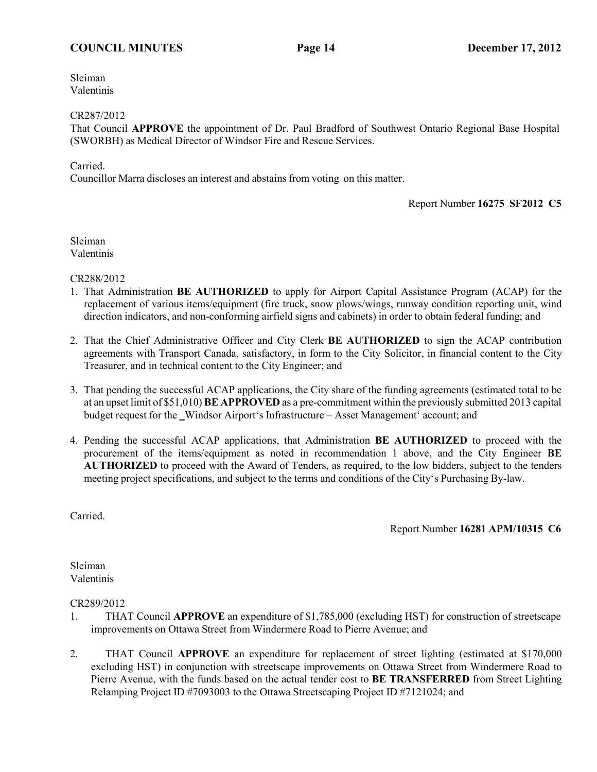# **COUNCIL MINUTES Page 14 December 17, 2012**

Sleiman Valentinis

## CR287/2012

That Council **APPROVE** the appointment of Dr. Paul Bradford of Southwest Ontario Regional Base Hospital (SWORBH) as Medical Director of Windsor Fire and Rescue Services.

## Carried.

Councillor Marra discloses an interest and abstains from voting on this matter.

## Report Number **16275 SF2012 C5**

Sleiman Valentinis

CR288/2012

- 1. That Administration **BE AUTHORIZED** to apply for Airport Capital Assistance Program (ACAP) for the replacement of various items/equipment (fire truck, snow plows/wings, runway condition reporting unit, wind direction indicators, and non-conforming airfield signs and cabinets) in order to obtain federal funding; and
- 2. That the Chief Administrative Officer and City Clerk **BE AUTHORIZED** to sign the ACAP contribution agreements with Transport Canada, satisfactory, in form to the City Solicitor, in financial content to the City Treasurer, and in technical content to the City Engineer; and
- 3. That pending the successful ACAP applications, the City share of the funding agreements (estimated total to be at an upset limit of \$51,010) **BE APPROVED** as a pre-commitment within the previously submitted 2013 capital budget request for the Windsor Airport's Infrastructure – Asset Management' account; and
- 4. Pending the successful ACAP applications, that Administration **BE AUTHORIZED** to proceed with the procurement of the items/equipment as noted in recommendation 1 above, and the City Engineer **BE AUTHORIZED** to proceed with the Award of Tenders, as required, to the low bidders, subject to the tenders meeting project specifications, and subject to the terms and conditions of the City's Purchasing By-law.

Carried.

Report Number **16281 APM/10315 C6**

Sleiman Valentinis

CR289/2012

- 1. THAT Council **APPROVE** an expenditure of \$1,785,000 (excluding HST) for construction of streetscape improvements on Ottawa Street from Windermere Road to Pierre Avenue; and
- 2. THAT Council **APPROVE** an expenditure for replacement of street lighting (estimated at \$170,000 excluding HST) in conjunction with streetscape improvements on Ottawa Street from Windermere Road to Pierre Avenue, with the funds based on the actual tender cost to **BE TRANSFERRED** from Street Lighting Relamping Project ID #7093003 to the Ottawa Streetscaping Project ID #7121024; and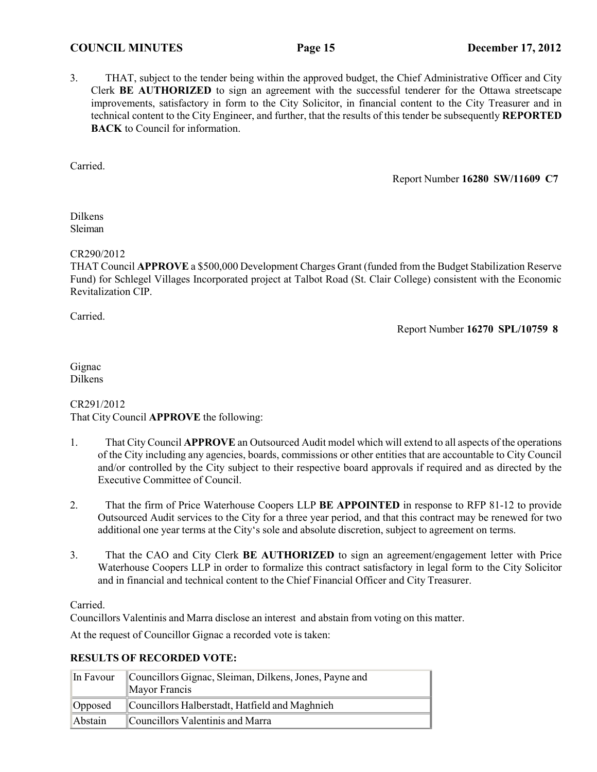## **COUNCIL MINUTES Page 15 December 17, 2012**

3. THAT, subject to the tender being within the approved budget, the Chief Administrative Officer and City Clerk **BE AUTHORIZED** to sign an agreement with the successful tenderer for the Ottawa streetscape improvements, satisfactory in form to the City Solicitor, in financial content to the City Treasurer and in technical content to the City Engineer, and further, that the results of this tender be subsequently **REPORTED BACK** to Council for information.

Carried.

Report Number **16280 SW/11609 C7**

Dilkens Sleiman

## CR290/2012

THAT Council **APPROVE** a \$500,000 Development Charges Grant (funded from the Budget Stabilization Reserve Fund) for Schlegel Villages Incorporated project at Talbot Road (St. Clair College) consistent with the Economic Revitalization CIP.

Carried.

Report Number **16270 SPL/10759 8**

Gignac Dilkens

# CR291/2012 That City Council **APPROVE** the following:

- 1. That City Council **APPROVE** an Outsourced Audit model which will extend to all aspects of the operations of the City including any agencies, boards, commissions or other entities that are accountable to City Council and/or controlled by the City subject to their respective board approvals if required and as directed by the Executive Committee of Council.
- 2. That the firm of Price Waterhouse Coopers LLP **BE APPOINTED** in response to RFP 81-12 to provide Outsourced Audit services to the City for a three year period, and that this contract may be renewed for two additional one year terms at the City's sole and absolute discretion, subject to agreement on terms.
- 3. That the CAO and City Clerk **BE AUTHORIZED** to sign an agreement/engagement letter with Price Waterhouse Coopers LLP in order to formalize this contract satisfactory in legal form to the City Solicitor and in financial and technical content to the Chief Financial Officer and City Treasurer.

# Carried.

Councillors Valentinis and Marra disclose an interest and abstain from voting on this matter.

At the request of Councillor Gignac a recorded vote is taken:

## **RESULTS OF RECORDED VOTE:**

| In Favour | Councillors Gignac, Sleiman, Dilkens, Jones, Payne and<br>Mayor Francis |  |
|-----------|-------------------------------------------------------------------------|--|
| Opposed   | Councillors Halberstadt, Hatfield and Maghnieh                          |  |
| Abstain   | Councillors Valentinis and Marra                                        |  |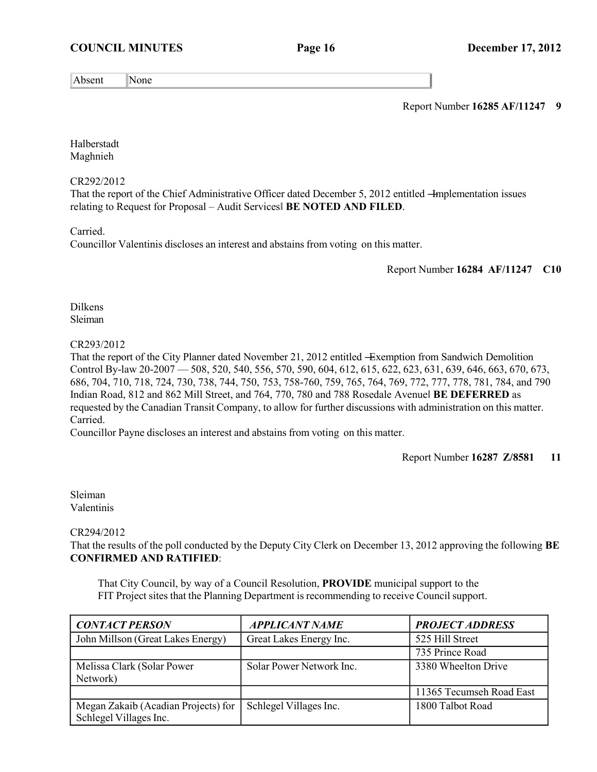# **COUNCIL MINUTES Page 16 December 17, 2012**

Absent |None

Report Number **16285 AF/11247 9**

Halberstadt Maghnieh

## CR292/2012

That the report of the Chief Administrative Officer dated December 5, 2012 entitled –Implementation issues relating to Request for Proposal – Audit Services‖ **BE NOTED AND FILED**.

Carried.

Councillor Valentinis discloses an interest and abstains from voting on this matter.

## Report Number **16284 AF/11247 C10**

Dilkens Sleiman

## CR293/2012

That the report of the City Planner dated November 21, 2012 entitled —Exemption from Sandwich Demolition Control By-law 20-2007 — 508, 520, 540, 556, 570, 590, 604, 612, 615, 622, 623, 631, 639, 646, 663, 670, 673, 686, 704, 710, 718, 724, 730, 738, 744, 750, 753, 758-760, 759, 765, 764, 769, 772, 777, 778, 781, 784, and 790 Indian Road, 812 and 862 Mill Street, and 764, 770, 780 and 788 Rosedale Avenue‖ **BE DEFERRED** as requested by the Canadian Transit Company, to allow for further discussions with administration on this matter. Carried.

Councillor Payne discloses an interest and abstains from voting on this matter.

Report Number **16287 Z/8581 11**

Sleiman Valentinis

## CR294/2012

That the results of the poll conducted by the Deputy City Clerk on December 13, 2012 approving the following **BE CONFIRMED AND RATIFIED**:

That City Council, by way of a Council Resolution, **PROVIDE** municipal support to the FIT Project sites that the Planning Department is recommending to receive Councilsupport.

| <b>CONTACT PERSON</b>                                         | <b>APPLICANT NAME</b>    | <b>PROJECT ADDRESS</b>   |
|---------------------------------------------------------------|--------------------------|--------------------------|
| John Millson (Great Lakes Energy)                             | Great Lakes Energy Inc.  | 525 Hill Street          |
|                                                               |                          | 735 Prince Road          |
| Melissa Clark (Solar Power<br>Network)                        | Solar Power Network Inc. | 3380 Wheelton Drive      |
|                                                               |                          | 11365 Tecumseh Road East |
| Megan Zakaib (Acadian Projects) for<br>Schlegel Villages Inc. | Schlegel Villages Inc.   | 1800 Talbot Road         |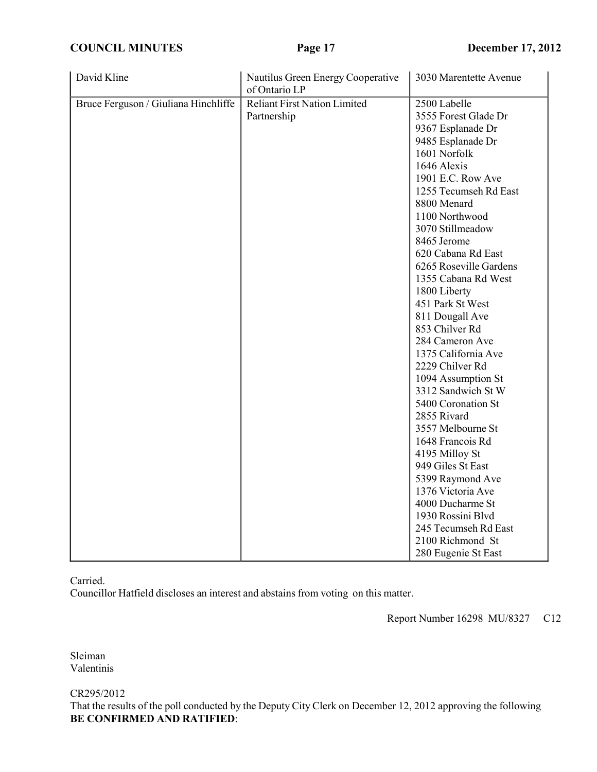**COUNCIL MINUTES Page 17 December 17, 2012**

| David Kline                          | Nautilus Green Energy Cooperative<br>of Ontario LP | 3030 Marentette Avenue                                                                                                                                                                                                                                                                                                                                                                                                                                                                                                                                                                                                                                                                                                  |
|--------------------------------------|----------------------------------------------------|-------------------------------------------------------------------------------------------------------------------------------------------------------------------------------------------------------------------------------------------------------------------------------------------------------------------------------------------------------------------------------------------------------------------------------------------------------------------------------------------------------------------------------------------------------------------------------------------------------------------------------------------------------------------------------------------------------------------------|
| Bruce Ferguson / Giuliana Hinchliffe | <b>Reliant First Nation Limited</b><br>Partnership | 2500 Labelle<br>3555 Forest Glade Dr<br>9367 Esplanade Dr<br>9485 Esplanade Dr<br>1601 Norfolk<br>1646 Alexis<br>1901 E.C. Row Ave<br>1255 Tecumseh Rd East<br>8800 Menard<br>1100 Northwood<br>3070 Stillmeadow<br>8465 Jerome<br>620 Cabana Rd East<br>6265 Roseville Gardens<br>1355 Cabana Rd West<br>1800 Liberty<br>451 Park St West<br>811 Dougall Ave<br>853 Chilver Rd<br>284 Cameron Ave<br>1375 California Ave<br>2229 Chilver Rd<br>1094 Assumption St<br>3312 Sandwich St W<br>5400 Coronation St<br>2855 Rivard<br>3557 Melbourne St<br>1648 Francois Rd<br>4195 Milloy St<br>949 Giles St East<br>5399 Raymond Ave<br>1376 Victoria Ave<br>4000 Ducharme St<br>1930 Rossini Blvd<br>245 Tecumseh Rd East |
|                                      |                                                    | 2100 Richmond St<br>280 Eugenie St East                                                                                                                                                                                                                                                                                                                                                                                                                                                                                                                                                                                                                                                                                 |

Carried.

Councillor Hatfield discloses an interest and abstains from voting on this matter.

Report Number 16298 MU/8327 C12

Sleiman Valentinis

CR295/2012

That the results of the poll conducted by the Deputy City Clerk on December 12, 2012 approving the following **BE CONFIRMED AND RATIFIED**: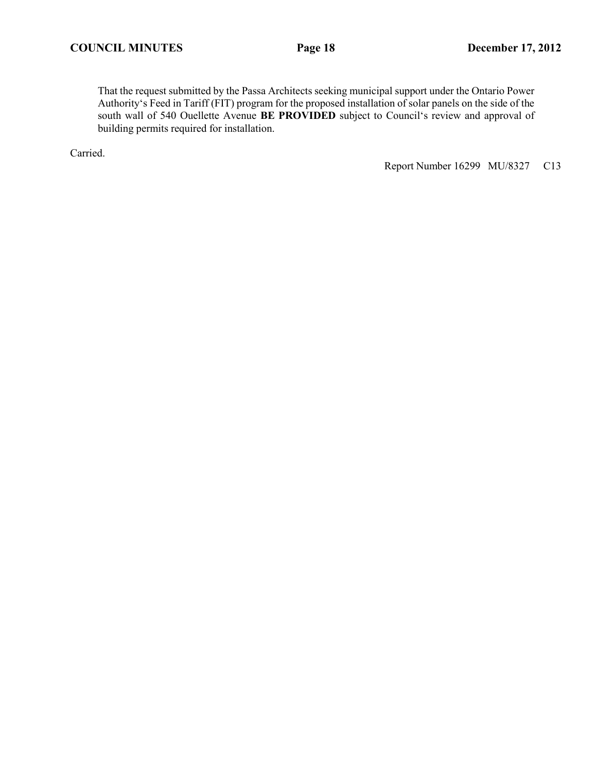That the request submitted by the Passa Architects seeking municipal support under the Ontario Power Authority's Feed in Tariff (FIT) program for the proposed installation of solar panels on the side of the south wall of 540 Ouellette Avenue **BE PROVIDED** subject to Council's review and approval of building permits required for installation.

Carried.

Report Number 16299 MU/8327 C13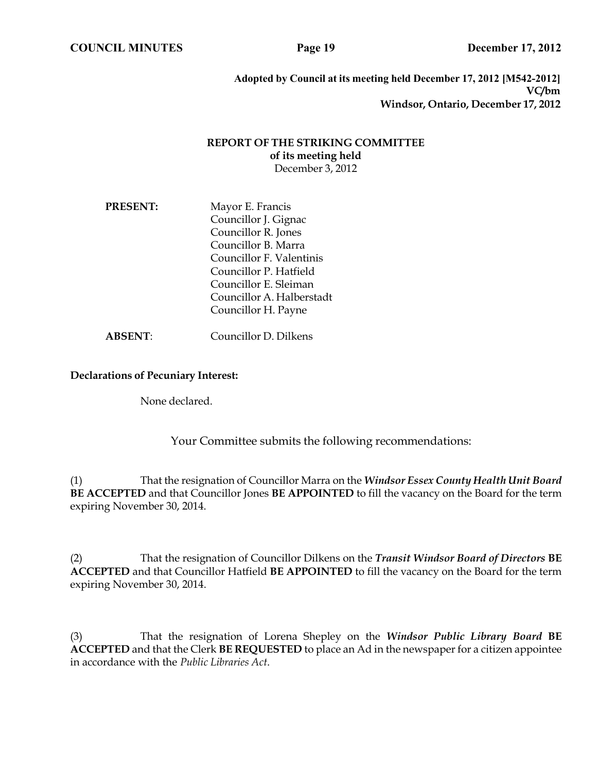**Adopted by Council at its meeting held December 17, 2012 [M542-2012] VC/bm Windsor, Ontario, December 17, 2012**

## **REPORT OF THE STRIKING COMMITTEE of its meeting held** December 3, 2012

**PRESENT:** Mayor E. Francis Councillor J. Gignac Councillor R. Jones Councillor B. Marra Councillor F. Valentinis Councillor P. Hatfield Councillor E. Sleiman Councillor A. Halberstadt Councillor H. Payne

**ABSENT**: Councillor D. Dilkens

## **Declarations of Pecuniary Interest:**

None declared.

Your Committee submits the following recommendations:

(1) That the resignation of Councillor Marra on the *Windsor Essex County Health Unit Board*  **BE ACCEPTED** and that Councillor Jones **BE APPOINTED** to fill the vacancy on the Board for the term expiring November 30, 2014.

(2) That the resignation of Councillor Dilkens on the *Transit Windsor Board of Directors* **BE ACCEPTED** and that Councillor Hatfield **BE APPOINTED** to fill the vacancy on the Board for the term expiring November 30, 2014.

(3) That the resignation of Lorena Shepley on the *Windsor Public Library Board* **BE ACCEPTED** and that the Clerk **BE REQUESTED** to place an Ad in the newspaper for a citizen appointee in accordance with the *Public Libraries Act*.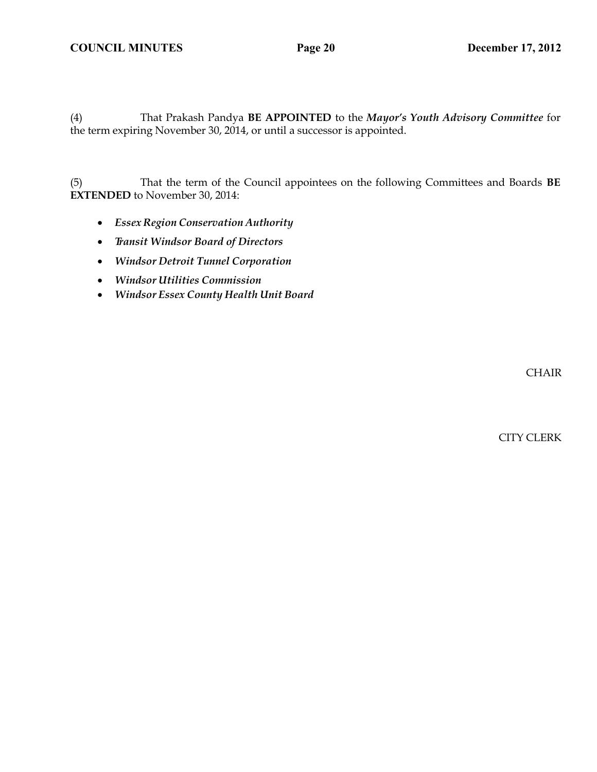(4) That Prakash Pandya **BE APPOINTED** to the *Mayor's Youth Advisory Committee* for the term expiring November 30, 2014, or until a successor is appointed.

(5) That the term of the Council appointees on the following Committees and Boards **BE EXTENDED** to November 30, 2014:

- *Essex Region Conservation Authority*
- *Transit Windsor Board of Directors*
- *Windsor Detroit Tunnel Corporation*
- *Windsor Utilities Commission*
- *Windsor Essex County Health Unit Board*

CHAIR

CITY CLERK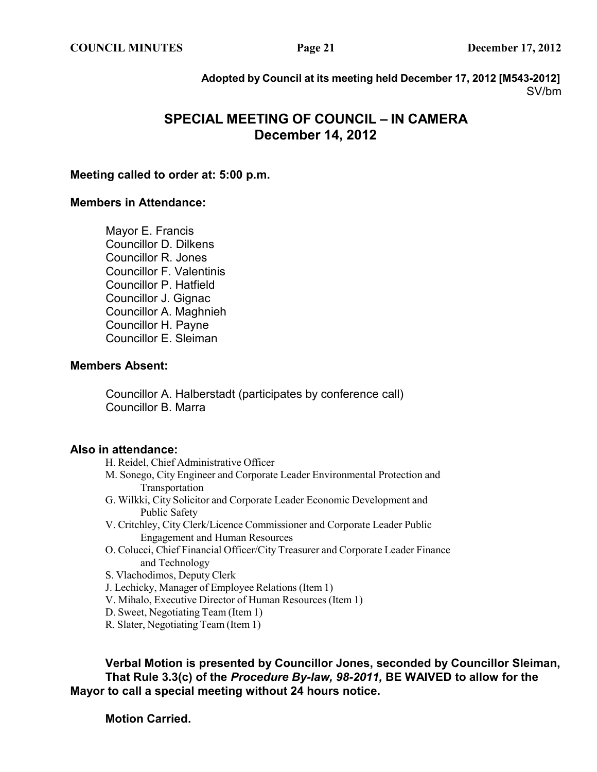**Adopted by Council at its meeting held December 17, 2012 [M543-2012]** SV/bm

# **SPECIAL MEETING OF COUNCIL – IN CAMERA December 14, 2012**

# **Meeting called to order at: 5:00 p.m.**

# **Members in Attendance:**

Mayor E. Francis Councillor D. Dilkens Councillor R. Jones Councillor F. Valentinis Councillor P. Hatfield Councillor J. Gignac Councillor A. Maghnieh Councillor H. Payne Councillor E. Sleiman

# **Members Absent:**

Councillor A. Halberstadt (participates by conference call) Councillor B. Marra

# **Also in attendance:**

- H. Reidel, Chief Administrative Officer
- M. Sonego, City Engineer and Corporate Leader Environmental Protection and Transportation
- G. Wilkki, City Solicitor and Corporate Leader Economic Development and Public Safety
- V. Critchley, City Clerk/Licence Commissioner and Corporate Leader Public Engagement and Human Resources
- O. Colucci, Chief Financial Officer/City Treasurer and Corporate Leader Finance and Technology

S. Vlachodimos, Deputy Clerk

- J. Lechicky, Manager of Employee Relations (Item 1)
- V. Mihalo, Executive Director of Human Resources (Item 1)
- D. Sweet, Negotiating Team (Item 1)
- R. Slater, Negotiating Team (Item 1)

**Verbal Motion is presented by Councillor Jones, seconded by Councillor Sleiman, That Rule 3.3(c) of the** *Procedure By-law, 98-2011,* **BE WAIVED to allow for the Mayor to call a special meeting without 24 hours notice.**

**Motion Carried.**